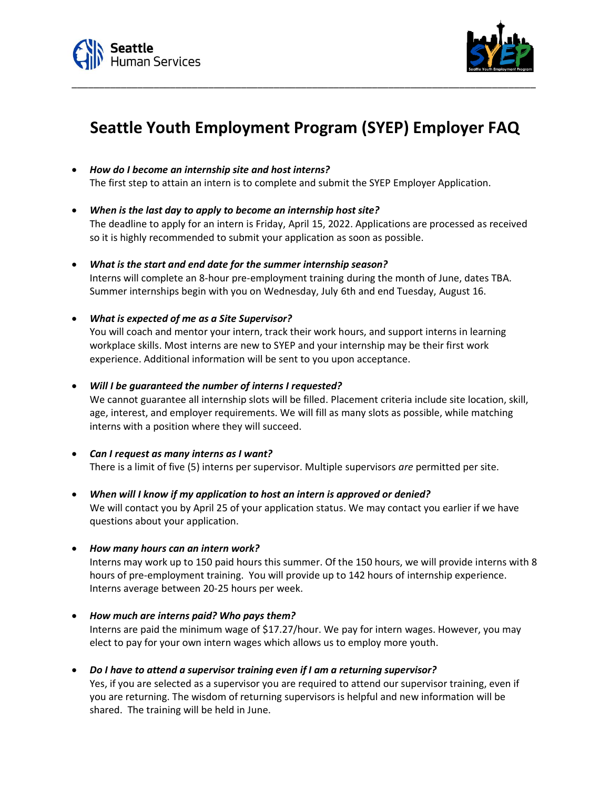



## **Seattle Youth Employment Program (SYEP) Employer FAQ**

\_\_\_\_\_\_\_\_\_\_\_\_\_\_\_\_\_\_\_\_\_\_\_\_\_\_\_\_\_\_\_\_\_\_\_\_\_\_\_\_\_\_\_\_\_\_\_\_\_\_\_\_\_\_\_\_\_\_\_\_\_\_\_\_\_\_\_\_\_\_\_\_\_\_\_\_\_\_\_\_\_\_\_\_\_

- *How do I become an internship site and host interns?* The first step to attain an intern is to complete and submit the SYEP Employer Application.
- *When is the last day to apply to become an internship host site?* The deadline to apply for an intern is Friday, April 15, 2022. Applications are processed as received so it is highly recommended to submit your application as soon as possible.
- *What is the start and end date for the summer internship season?* Interns will complete an 8-hour pre-employment training during the month of June, dates TBA. Summer internships begin with you on Wednesday, July 6th and end Tuesday, August 16.
- *What is expected of me as a Site Supervisor?*

You will coach and mentor your intern, track their work hours, and support interns in learning workplace skills. Most interns are new to SYEP and your internship may be their first work experience. Additional information will be sent to you upon acceptance.

• *Will I be guaranteed the number of interns I requested?*

We cannot guarantee all internship slots will be filled. Placement criteria include site location, skill, age, interest, and employer requirements. We will fill as many slots as possible, while matching interns with a position where they will succeed.

- *Can I request as many interns as I want?* There is a limit of five (5) interns per supervisor. Multiple supervisors *are* permitted per site.
- *When will I know if my application to host an intern is approved or denied?* We will contact you by April 25 of your application status. We may contact you earlier if we have questions about your application.
- *How many hours can an intern work?*

Interns may work up to 150 paid hours this summer. Of the 150 hours, we will provide interns with 8 hours of pre-employment training. You will provide up to 142 hours of internship experience. Interns average between 20-25 hours per week.

- *How much are interns paid? Who pays them?* Interns are paid the minimum wage of \$17.27/hour. We pay for intern wages. However, you may elect to pay for your own intern wages which allows us to employ more youth.
- *Do I have to attend a supervisor training even if I am a returning supervisor?* Yes, if you are selected as a supervisor you are required to attend our supervisor training, even if you are returning. The wisdom of returning supervisors is helpful and new information will be shared. The training will be held in June.